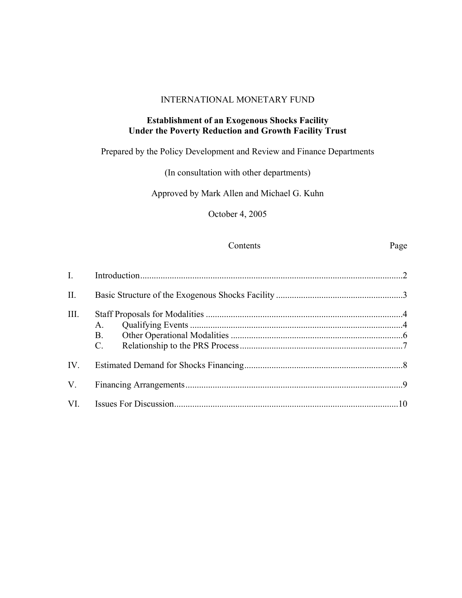#### INTERNATIONAL MONETARY FUND

## **Establishment of an Exogenous Shocks Facility Under the Poverty Reduction and Growth Facility Trust**

# Prepared by the Policy Development and Review and Finance Departments

# (In consultation with other departments)

# Approved by Mark Allen and Michael G. Kuhn

October 4, 2005

#### Contents Page

| I.        |                                         |  |
|-----------|-----------------------------------------|--|
| $\prod$ . |                                         |  |
| III.      | $A_{-}$<br><b>B.</b><br>$\mathcal{C}$ . |  |
| IV.       |                                         |  |
| $V_{.}$   |                                         |  |
| VI.       |                                         |  |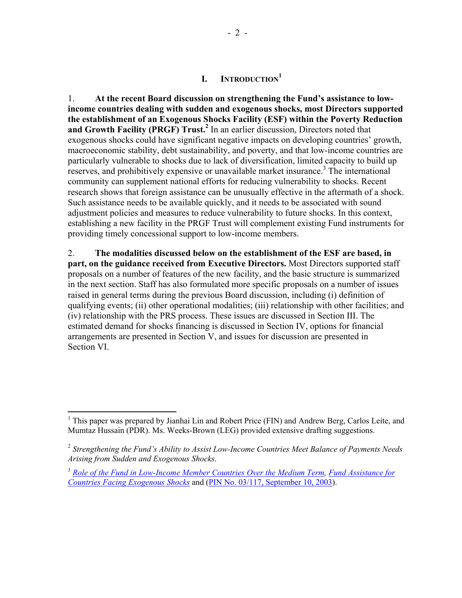# **I. INTRODUCTION<sup>1</sup>**

1. **At the recent Board discussion on strengthening the Fund's assistance to lowincome countries dealing with sudden and exogenous shocks, most Directors supported the establishment of an Exogenous Shocks Facility (ESF) within the Poverty Reduction**  and Growth Facility (PRGF) Trust.<sup>2</sup> In an earlier discussion, Directors noted that exogenous shocks could have significant negative impacts on developing countries' growth, macroeconomic stability, debt sustainability, and poverty, and that low-income countries are particularly vulnerable to shocks due to lack of diversification, limited capacity to build up reserves, and prohibitively expensive or unavailable market insurance.<sup>3</sup> The international community can supplement national efforts for reducing vulnerability to shocks. Recent research shows that foreign assistance can be unusually effective in the aftermath of a shock. Such assistance needs to be available quickly, and it needs to be associated with sound adjustment policies and measures to reduce vulnerability to future shocks. In this context, establishing a new facility in the PRGF Trust will complement existing Fund instruments for providing timely concessional support to low-income members.

2. **The modalities discussed below on the establishment of the ESF are based, in part, on the guidance received from Executive Directors.** Most Directors supported staff proposals on a number of features of the new facility, and the basic structure is summarized in the next section. Staff has also formulated more specific proposals on a number of issues raised in general terms during the previous Board discussion, including (i) definition of qualifying events; (ii) other operational modalities; (iii) relationship with other facilities; and (iv) relationship with the PRS process. These issues are discussed in Section III. The estimated demand for shocks financing is discussed in Section IV, options for financial arrangements are presented in Section V, and issues for discussion are presented in Section VI.

<sup>&</sup>lt;sup>1</sup> This paper was prepared by Jianhai Lin and Robert Price (FIN) and Andrew Berg, Carlos Leite, and Mumtaz Hussain (PDR). Ms. Weeks-Brown (LEG) provided extensive drafting suggestions.

<sup>2</sup> *Strengthening the Fund's Ability to Assist Low-Income Countries Meet Balance of Payments Needs Arising from Sudden and Exogenous Shocks*.

<sup>3</sup> *Role of the Fund in Low-Income Member Countries Over the Medium Term, Fund Assistance for Countries Facing Exogenous Shocks* and (PIN No. 03/117, September 10, 2003).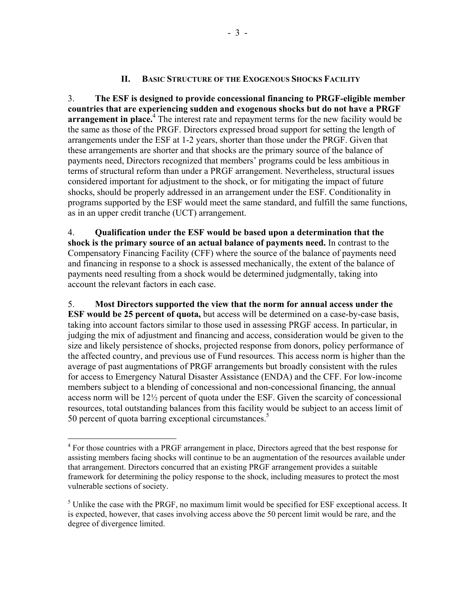### **II. BASIC STRUCTURE OF THE EXOGENOUS SHOCKS FACILITY**

3. **The ESF is designed to provide concessional financing to PRGF-eligible member countries that are experiencing sudden and exogenous shocks but do not have a PRGF**  arrangement in place.<sup>4</sup> The interest rate and repayment terms for the new facility would be the same as those of the PRGF. Directors expressed broad support for setting the length of arrangements under the ESF at 1-2 years, shorter than those under the PRGF. Given that these arrangements are shorter and that shocks are the primary source of the balance of payments need, Directors recognized that members' programs could be less ambitious in terms of structural reform than under a PRGF arrangement. Nevertheless, structural issues considered important for adjustment to the shock, or for mitigating the impact of future shocks, should be properly addressed in an arrangement under the ESF. Conditionality in programs supported by the ESF would meet the same standard, and fulfill the same functions, as in an upper credit tranche (UCT) arrangement.

4. **Qualification under the ESF would be based upon a determination that the shock is the primary source of an actual balance of payments need.** In contrast to the Compensatory Financing Facility (CFF) where the source of the balance of payments need and financing in response to a shock is assessed mechanically, the extent of the balance of payments need resulting from a shock would be determined judgmentally, taking into account the relevant factors in each case.

5. **Most Directors supported the view that the norm for annual access under the ESF would be 25 percent of quota,** but access will be determined on a case-by-case basis, taking into account factors similar to those used in assessing PRGF access. In particular, in judging the mix of adjustment and financing and access, consideration would be given to the size and likely persistence of shocks, projected response from donors, policy performance of the affected country, and previous use of Fund resources. This access norm is higher than the average of past augmentations of PRGF arrangements but broadly consistent with the rules for access to Emergency Natural Disaster Assistance (ENDA) and the CFF. For low-income members subject to a blending of concessional and non-concessional financing, the annual access norm will be 12½ percent of quota under the ESF. Given the scarcity of concessional resources, total outstanding balances from this facility would be subject to an access limit of 50 percent of quota barring exceptional circumstances.<sup>5</sup>

1

<sup>&</sup>lt;sup>4</sup> For those countries with a PRGF arrangement in place, Directors agreed that the best response for assisting members facing shocks will continue to be an augmentation of the resources available under that arrangement. Directors concurred that an existing PRGF arrangement provides a suitable framework for determining the policy response to the shock, including measures to protect the most vulnerable sections of society.

 $<sup>5</sup>$  Unlike the case with the PRGF, no maximum limit would be specified for ESF exceptional access. It</sup> is expected, however, that cases involving access above the 50 percent limit would be rare, and the degree of divergence limited.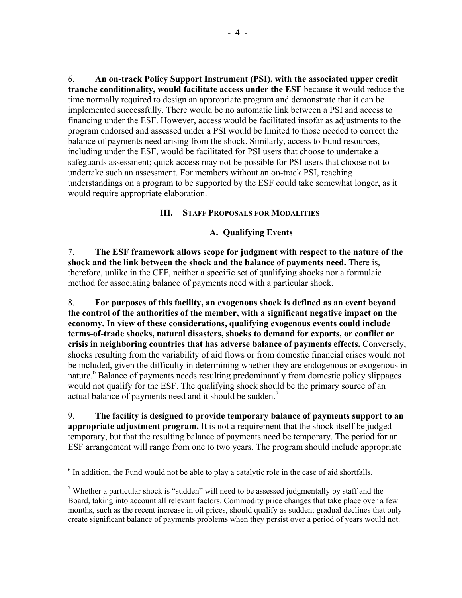6. **An on-track Policy Support Instrument (PSI), with the associated upper credit tranche conditionality, would facilitate access under the ESF** because it would reduce the time normally required to design an appropriate program and demonstrate that it can be implemented successfully. There would be no automatic link between a PSI and access to financing under the ESF. However, access would be facilitated insofar as adjustments to the program endorsed and assessed under a PSI would be limited to those needed to correct the balance of payments need arising from the shock. Similarly, access to Fund resources, including under the ESF, would be facilitated for PSI users that choose to undertake a safeguards assessment; quick access may not be possible for PSI users that choose not to undertake such an assessment. For members without an on-track PSI, reaching understandings on a program to be supported by the ESF could take somewhat longer, as it would require appropriate elaboration.

### **III. STAFF PROPOSALS FOR MODALITIES**

## **A. Qualifying Events**

7. **The ESF framework allows scope for judgment with respect to the nature of the shock and the link between the shock and the balance of payments need.** There is, therefore, unlike in the CFF, neither a specific set of qualifying shocks nor a formulaic method for associating balance of payments need with a particular shock.

8. **For purposes of this facility, an exogenous shock is defined as an event beyond the control of the authorities of the member, with a significant negative impact on the economy. In view of these considerations, qualifying exogenous events could include terms-of-trade shocks, natural disasters, shocks to demand for exports, or conflict or crisis in neighboring countries that has adverse balance of payments effects.** Conversely, shocks resulting from the variability of aid flows or from domestic financial crises would not be included, given the difficulty in determining whether they are endogenous or exogenous in nature.<sup>6</sup> Balance of payments needs resulting predominantly from domestic policy slippages would not qualify for the ESF. The qualifying shock should be the primary source of an actual balance of payments need and it should be sudden.<sup>7</sup>

9. **The facility is designed to provide temporary balance of payments support to an appropriate adjustment program.** It is not a requirement that the shock itself be judged temporary, but that the resulting balance of payments need be temporary. The period for an ESF arrangement will range from one to two years. The program should include appropriate

 $\overline{a}$ 

 $<sup>6</sup>$  In addition, the Fund would not be able to play a catalytic role in the case of aid shortfalls.</sup>

<sup>&</sup>lt;sup>7</sup> Whether a particular shock is "sudden" will need to be assessed judgmentally by staff and the Board, taking into account all relevant factors. Commodity price changes that take place over a few months, such as the recent increase in oil prices, should qualify as sudden; gradual declines that only create significant balance of payments problems when they persist over a period of years would not.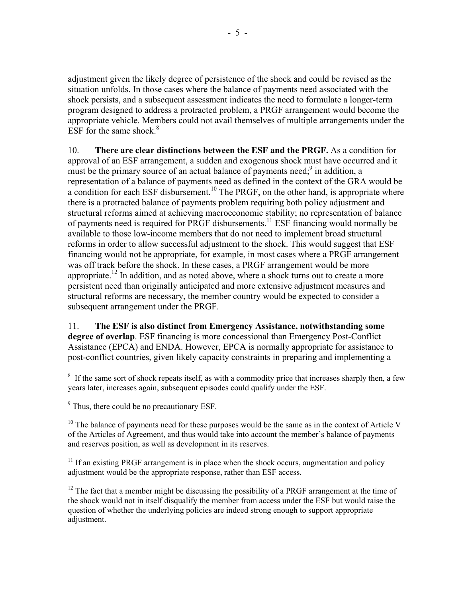adjustment given the likely degree of persistence of the shock and could be revised as the situation unfolds. In those cases where the balance of payments need associated with the shock persists, and a subsequent assessment indicates the need to formulate a longer-term program designed to address a protracted problem, a PRGF arrangement would become the appropriate vehicle. Members could not avail themselves of multiple arrangements under the ESF for the same shock. $8<sup>8</sup>$ 

10. **There are clear distinctions between the ESF and the PRGF.** As a condition for approval of an ESF arrangement, a sudden and exogenous shock must have occurred and it must be the primary source of an actual balance of payments need;<sup>9</sup> in addition, a representation of a balance of payments need as defined in the context of the GRA would be a condition for each ESF disbursement.<sup>10</sup> The PRGF, on the other hand, is appropriate where there is a protracted balance of payments problem requiring both policy adjustment and structural reforms aimed at achieving macroeconomic stability; no representation of balance of payments need is required for PRGF disbursements.11 ESF financing would normally be available to those low-income members that do not need to implement broad structural reforms in order to allow successful adjustment to the shock. This would suggest that ESF financing would not be appropriate, for example, in most cases where a PRGF arrangement was off track before the shock. In these cases, a PRGF arrangement would be more appropriate.<sup>12</sup> In addition, and as noted above, where a shock turns out to create a more persistent need than originally anticipated and more extensive adjustment measures and structural reforms are necessary, the member country would be expected to consider a subsequent arrangement under the PRGF.

11. **The ESF is also distinct from Emergency Assistance, notwithstanding some degree of overlap**. ESF financing is more concessional than Emergency Post-Conflict Assistance (EPCA) and ENDA. However, EPCA is normally appropriate for assistance to post-conflict countries, given likely capacity constraints in preparing and implementing a

1

 $10$  The balance of payments need for these purposes would be the same as in the context of Article V of the Articles of Agreement, and thus would take into account the member's balance of payments and reserves position, as well as development in its reserves.

 $11$  If an existing PRGF arrangement is in place when the shock occurs, augmentation and policy adjustment would be the appropriate response, rather than ESF access.

 $12$  The fact that a member might be discussing the possibility of a PRGF arrangement at the time of the shock would not in itself disqualify the member from access under the ESF but would raise the question of whether the underlying policies are indeed strong enough to support appropriate adjustment.

<sup>&</sup>lt;sup>8</sup> If the same sort of shock repeats itself, as with a commodity price that increases sharply then, a few years later, increases again, subsequent episodes could qualify under the ESF.

<sup>&</sup>lt;sup>9</sup> Thus, there could be no precautionary ESF.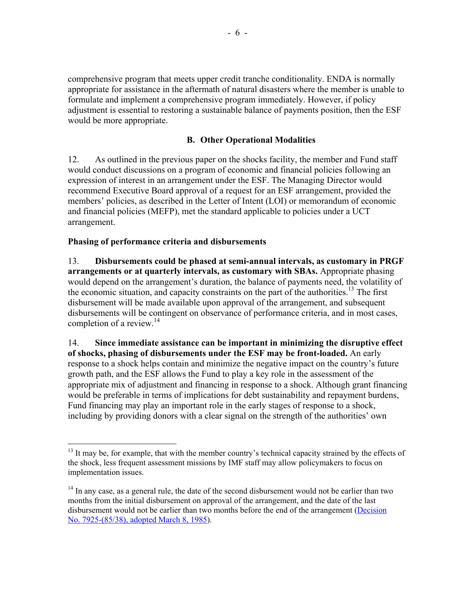comprehensive program that meets upper credit tranche conditionality. ENDA is normally appropriate for assistance in the aftermath of natural disasters where the member is unable to formulate and implement a comprehensive program immediately. However, if policy adjustment is essential to restoring a sustainable balance of payments position, then the ESF would be more appropriate.

## **B. Other Operational Modalities**

12. As outlined in the previous paper on the shocks facility, the member and Fund staff would conduct discussions on a program of economic and financial policies following an expression of interest in an arrangement under the ESF. The Managing Director would recommend Executive Board approval of a request for an ESF arrangement, provided the members' policies, as described in the Letter of Intent (LOI) or memorandum of economic and financial policies (MEFP), met the standard applicable to policies under a UCT arrangement.

## **Phasing of performance criteria and disbursements**

 $\overline{a}$ 

13. **Disbursements could be phased at semi-annual intervals, as customary in PRGF arrangements or at quarterly intervals, as customary with SBAs.** Appropriate phasing would depend on the arrangement's duration, the balance of payments need, the volatility of the economic situation, and capacity constraints on the part of the authorities.<sup>13</sup> The first disbursement will be made available upon approval of the arrangement, and subsequent disbursements will be contingent on observance of performance criteria, and in most cases, completion of a review.<sup>14</sup>

14. **Since immediate assistance can be important in minimizing the disruptive effect of shocks, phasing of disbursements under the ESF may be front-loaded.** An early response to a shock helps contain and minimize the negative impact on the country's future growth path, and the ESF allows the Fund to play a key role in the assessment of the appropriate mix of adjustment and financing in response to a shock. Although grant financing would be preferable in terms of implications for debt sustainability and repayment burdens, Fund financing may play an important role in the early stages of response to a shock, including by providing donors with a clear signal on the strength of the authorities' own

 $13$  It may be, for example, that with the member country's technical capacity strained by the effects of the shock, less frequent assessment missions by IMF staff may allow policymakers to focus on implementation issues.

<sup>&</sup>lt;sup>14</sup> In any case, as a general rule, the date of the second disbursement would not be earlier than two months from the initial disbursement on approval of the arrangement, and the date of the last disbursement would not be earlier than two months before the end of the arrangement (Decision No. 7925-(85/38), adopted March 8, 1985).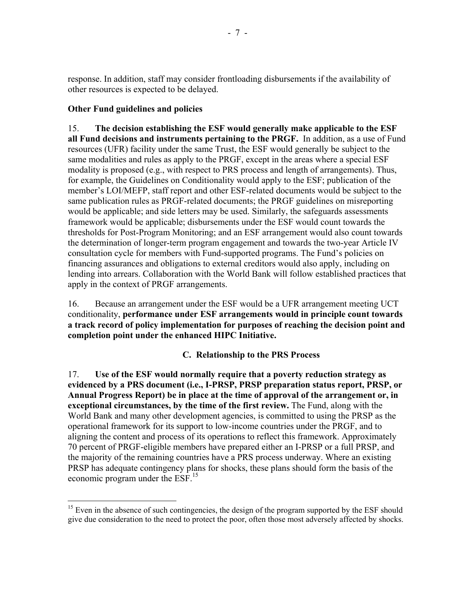response. In addition, staff may consider frontloading disbursements if the availability of other resources is expected to be delayed.

# **Other Fund guidelines and policies**

 $\overline{a}$ 

15. **The decision establishing the ESF would generally make applicable to the ESF all Fund decisions and instruments pertaining to the PRGF.** In addition, as a use of Fund resources (UFR) facility under the same Trust, the ESF would generally be subject to the same modalities and rules as apply to the PRGF, except in the areas where a special ESF modality is proposed (e.g., with respect to PRS process and length of arrangements). Thus, for example, the Guidelines on Conditionality would apply to the ESF; publication of the member's LOI/MEFP, staff report and other ESF-related documents would be subject to the same publication rules as PRGF-related documents; the PRGF guidelines on misreporting would be applicable; and side letters may be used. Similarly, the safeguards assessments framework would be applicable; disbursements under the ESF would count towards the thresholds for Post-Program Monitoring; and an ESF arrangement would also count towards the determination of longer-term program engagement and towards the two-year Article IV consultation cycle for members with Fund-supported programs. The Fund's policies on financing assurances and obligations to external creditors would also apply, including on lending into arrears. Collaboration with the World Bank will follow established practices that apply in the context of PRGF arrangements.

16. Because an arrangement under the ESF would be a UFR arrangement meeting UCT conditionality, **performance under ESF arrangements would in principle count towards a track record of policy implementation for purposes of reaching the decision point and completion point under the enhanced HIPC Initiative.**

**C. Relationship to the PRS Process** 

17. **Use of the ESF would normally require that a poverty reduction strategy as evidenced by a PRS document (i.e., I-PRSP, PRSP preparation status report, PRSP, or Annual Progress Report) be in place at the time of approval of the arrangement or, in exceptional circumstances, by the time of the first review.** The Fund, along with the World Bank and many other development agencies, is committed to using the PRSP as the operational framework for its support to low-income countries under the PRGF, and to aligning the content and process of its operations to reflect this framework. Approximately 70 percent of PRGF-eligible members have prepared either an I-PRSP or a full PRSP, and the majority of the remaining countries have a PRS process underway. Where an existing PRSP has adequate contingency plans for shocks, these plans should form the basis of the economic program under the ESF.<sup>15</sup>

 $15$  Even in the absence of such contingencies, the design of the program supported by the ESF should give due consideration to the need to protect the poor, often those most adversely affected by shocks.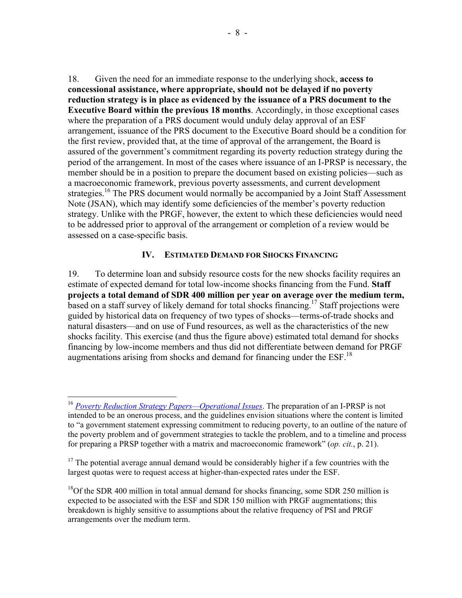18. Given the need for an immediate response to the underlying shock, **access to concessional assistance, where appropriate, should not be delayed if no poverty reduction strategy is in place as evidenced by the issuance of a PRS document to the Executive Board within the previous 18 months**. Accordingly, in those exceptional cases where the preparation of a PRS document would unduly delay approval of an ESF arrangement, issuance of the PRS document to the Executive Board should be a condition for the first review, provided that, at the time of approval of the arrangement, the Board is assured of the government's commitment regarding its poverty reduction strategy during the period of the arrangement. In most of the cases where issuance of an I-PRSP is necessary, the member should be in a position to prepare the document based on existing policies—such as a macroeconomic framework, previous poverty assessments, and current development strategies.<sup>16</sup> The PRS document would normally be accompanied by a Joint Staff Assessment Note (JSAN), which may identify some deficiencies of the member's poverty reduction strategy. Unlike with the PRGF, however, the extent to which these deficiencies would need to be addressed prior to approval of the arrangement or completion of a review would be assessed on a case-specific basis.

### **IV. ESTIMATED DEMAND FOR SHOCKS FINANCING**

19. To determine loan and subsidy resource costs for the new shocks facility requires an estimate of expected demand for total low-income shocks financing from the Fund. **Staff projects a total demand of SDR 400 million per year on average over the medium term,** based on a staff survey of likely demand for total shocks financing.17 Staff projections were guided by historical data on frequency of two types of shocks—terms-of-trade shocks and natural disasters—and on use of Fund resources, as well as the characteristics of the new shocks facility. This exercise (and thus the figure above) estimated total demand for shocks financing by low-income members and thus did not differentiate between demand for PRGF augmentations arising from shocks and demand for financing under the  $ESF$ <sup>18</sup>

 $\overline{a}$ 

<sup>16</sup> *Poverty Reduction Strategy Papers—Operational Issues*. The preparation of an I-PRSP is not intended to be an onerous process, and the guidelines envision situations where the content is limited to "a government statement expressing commitment to reducing poverty, to an outline of the nature of the poverty problem and of government strategies to tackle the problem, and to a timeline and process for preparing a PRSP together with a matrix and macroeconomic framework" (*op. cit.*, p. 21).

 $17$  The potential average annual demand would be considerably higher if a few countries with the largest quotas were to request access at higher-than-expected rates under the ESF.

<sup>&</sup>lt;sup>18</sup>Of the SDR 400 million in total annual demand for shocks financing, some SDR 250 million is expected to be associated with the ESF and SDR 150 million with PRGF augmentations; this breakdown is highly sensitive to assumptions about the relative frequency of PSI and PRGF arrangements over the medium term.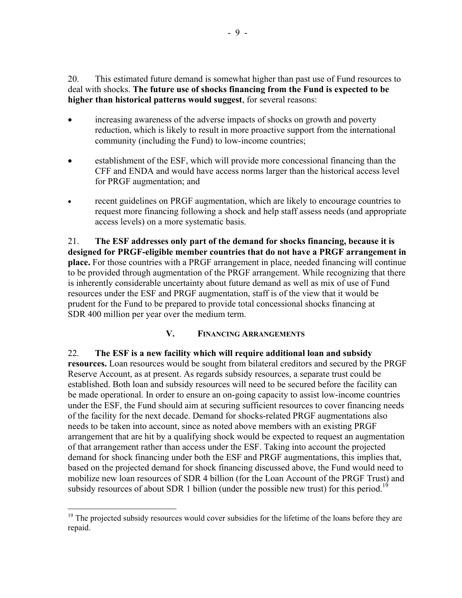20. This estimated future demand is somewhat higher than past use of Fund resources to deal with shocks. **The future use of shocks financing from the Fund is expected to be higher than historical patterns would suggest**, for several reasons:

- increasing awareness of the adverse impacts of shocks on growth and poverty reduction, which is likely to result in more proactive support from the international community (including the Fund) to low-income countries;
- establishment of the ESF, which will provide more concessional financing than the CFF and ENDA and would have access norms larger than the historical access level for PRGF augmentation; and
- recent guidelines on PRGF augmentation, which are likely to encourage countries to request more financing following a shock and help staff assess needs (and appropriate access levels) on a more systematic basis.

21. **The ESF addresses only part of the demand for shocks financing, because it is designed for PRGF-eligible member countries that do not have a PRGF arrangement in place.** For those countries with a PRGF arrangement in place, needed financing will continue to be provided through augmentation of the PRGF arrangement. While recognizing that there is inherently considerable uncertainty about future demand as well as mix of use of Fund resources under the ESF and PRGF augmentation, staff is of the view that it would be prudent for the Fund to be prepared to provide total concessional shocks financing at SDR 400 million per year over the medium term.

# **V. FINANCING ARRANGEMENTS**

22. **The ESF is a new facility which will require additional loan and subsidy resources.** Loan resources would be sought from bilateral creditors and secured by the PRGF Reserve Account, as at present. As regards subsidy resources, a separate trust could be established. Both loan and subsidy resources will need to be secured before the facility can be made operational. In order to ensure an on-going capacity to assist low-income countries under the ESF, the Fund should aim at securing sufficient resources to cover financing needs of the facility for the next decade. Demand for shocks-related PRGF augmentations also needs to be taken into account, since as noted above members with an existing PRGF arrangement that are hit by a qualifying shock would be expected to request an augmentation of that arrangement rather than access under the ESF. Taking into account the projected demand for shock financing under both the ESF and PRGF augmentations, this implies that, based on the projected demand for shock financing discussed above, the Fund would need to mobilize new loan resources of SDR 4 billion (for the Loan Account of the PRGF Trust) and subsidy resources of about SDR 1 billion (under the possible new trust) for this period.<sup>19</sup>

1

 $19$  The projected subsidy resources would cover subsidies for the lifetime of the loans before they are repaid.